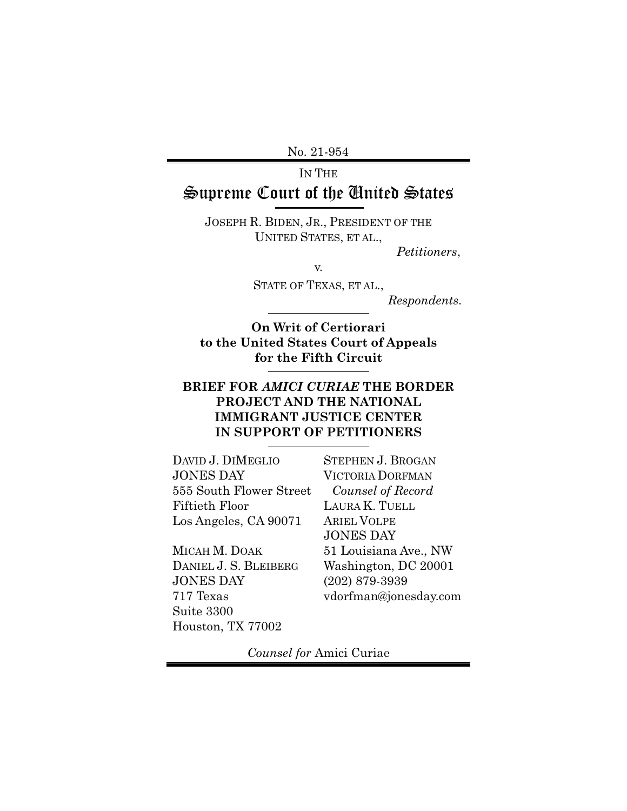No. 21-954

# IN THE Supreme Court of the United States

JOSEPH R. BIDEN, JR., PRESIDENT OF THE UNITED STATES, ET AL.,

*Petitioners*,

v.

STATE OF TEXAS, ET AL.,

*Respondents.*

**On Writ of Certiorari to the United States Court of Appeals for the Fifth Circuit**

### **BRIEF FOR** *AMICI CURIAE* **THE BORDER PROJECT AND THE NATIONAL IMMIGRANT JUSTICE CENTER IN SUPPORT OF PETITIONERS**

DAVID J. DIMEGLIO JONES DAY 555 South Flower Street Fiftieth Floor Los Angeles, CA 90071

MICAH M. DOAK DANIEL J. S. BLEIBERG JONES DAY 717 Texas Suite 3300 Houston, TX 77002

STEPHEN J. BROGAN VICTORIA DORFMAN *Counsel of Record*  LAURA K. TUELL ARIEL VOLPE JONES DAY 51 Louisiana Ave., NW Washington, DC 20001 (202) 879-3939 vdorfman@jonesday.com

*Counsel for* Amici Curiae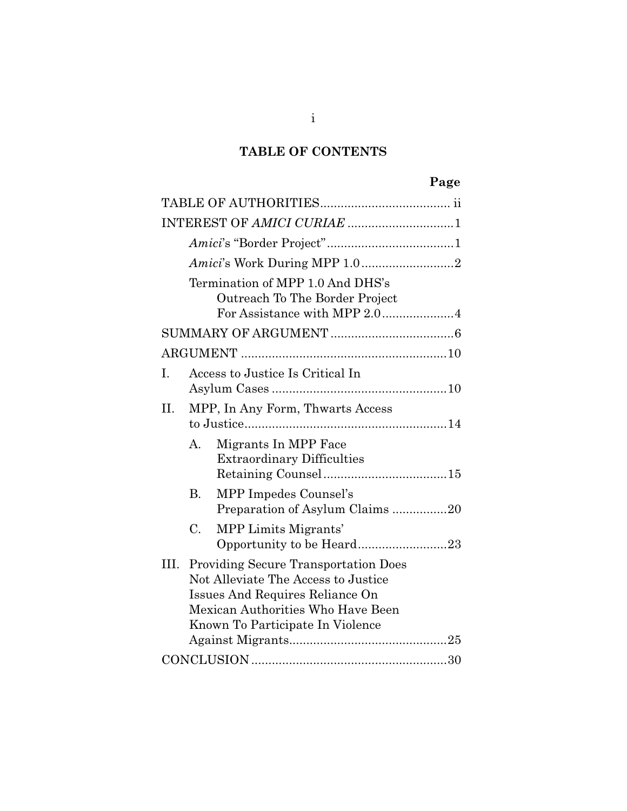### **TABLE OF CONTENTS**

# **Page**

|      | Amici's Work During MPP 1.02                                                                                                                                                                   |
|------|------------------------------------------------------------------------------------------------------------------------------------------------------------------------------------------------|
|      | Termination of MPP 1.0 And DHS's<br>Outreach To The Border Project                                                                                                                             |
|      |                                                                                                                                                                                                |
|      |                                                                                                                                                                                                |
| Ι.   | Access to Justice Is Critical In                                                                                                                                                               |
| II.  | MPP, In Any Form, Thwarts Access                                                                                                                                                               |
|      | Migrants In MPP Face<br>$\mathbf{A}_{\cdot}$<br><b>Extraordinary Difficulties</b>                                                                                                              |
|      | MPP Impedes Counsel's<br>В.<br>Preparation of Asylum Claims20                                                                                                                                  |
|      | C.<br>MPP Limits Migrants'<br>Opportunity to be Heard23                                                                                                                                        |
| III. | <b>Providing Secure Transportation Does</b><br>Not Alleviate The Access to Justice<br>Issues And Requires Reliance On<br>Mexican Authorities Who Have Been<br>Known To Participate In Violence |
|      |                                                                                                                                                                                                |

i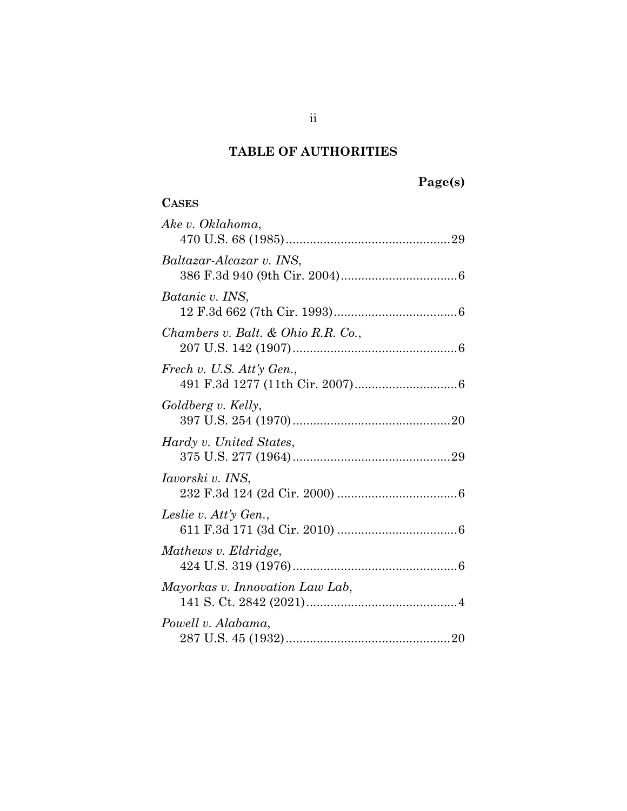#### **TABLE OF AUTHORITIES**

| 'agets) |
|---------|
|---------|

## **CASES** *Ake v. Oklahoma*, 470 U.S. 68 (1985) ................................................ 29 *Baltazar-Alcazar v. INS*, 386 F.3d 940 (9th Cir. 2004) .................................. 6 *Batanic v. INS*, 12 F.3d 662 (7th Cir. 1993) .................................... 6 *Chambers v. Balt. & Ohio R.R. Co.*, 207 U.S. 142 (1907) ................................................ 6 *Frech v. U.S. Att'y Gen.*, 491 F.3d 1277 (11th Cir. 2007) .............................. 6 *Goldberg v. Kelly*, 397 U.S. 254 (1970) .............................................. 20 *Hardy v. United States*, 375 U.S. 277 (1964) .............................................. 29 *Iavorski v. INS*, 232 F.3d 124 (2d Cir. 2000) ................................... 6 *Leslie v. Att'y Gen.*, 611 F.3d 171 (3d Cir. 2010) ................................... 6 *Mathews v. Eldridge*, 424 U.S. 319 (1976) ................................................ 6 *Mayorkas v. Innovation Law Lab*, 141 S. Ct. 2842 (2021) ............................................ 4 *Powell v. Alabama*, 287 U.S. 45 (1932) ................................................ 20

ii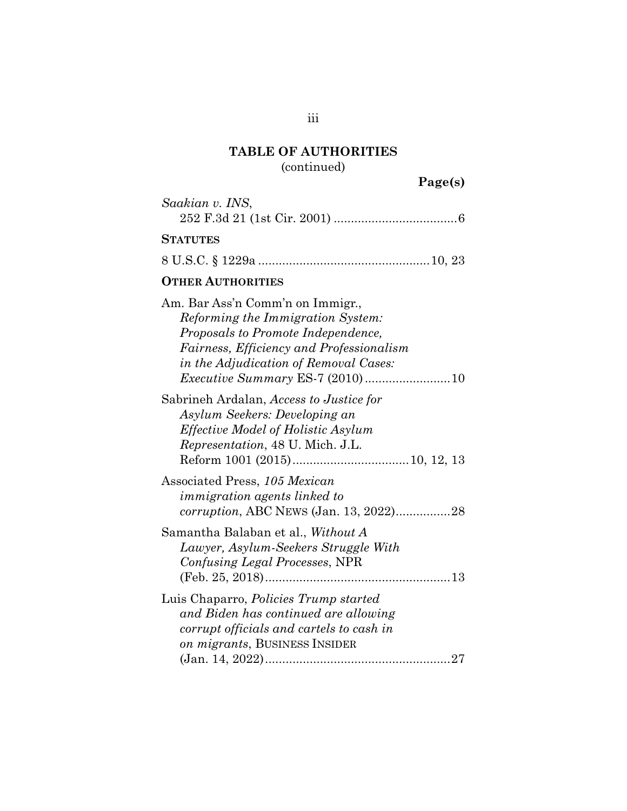# **TABLE OF AUTHORITIES**

(continued)

**Page(s)** 

| Saakian v. INS,                                                                                                                                                                                         |
|---------------------------------------------------------------------------------------------------------------------------------------------------------------------------------------------------------|
| <b>STATUTES</b>                                                                                                                                                                                         |
|                                                                                                                                                                                                         |
| <b>OTHER AUTHORITIES</b>                                                                                                                                                                                |
| Am. Bar Ass'n Comm'n on Immigr.,<br><i>Reforming the Immigration System:</i><br>Proposals to Promote Independence,<br>Fairness, Efficiency and Professionalism<br>in the Adjudication of Removal Cases: |
| Sabrineh Ardalan, Access to Justice for<br>Asylum Seekers: Developing an<br><i>Effective Model of Holistic Asylum</i><br><i>Representation</i> , 48 U. Mich. J.L.                                       |
| Associated Press, 105 Mexican<br>immigration agents linked to<br>corruption, ABC NEWS (Jan. 13, 2022)28                                                                                                 |
| Samantha Balaban et al., <i>Without A</i><br>Lawyer, Asylum-Seekers Struggle With<br>Confusing Legal Processes, NPR                                                                                     |
| Luis Chaparro, <i>Policies Trump started</i><br>and Biden has continued are allowing<br>corrupt officials and cartels to cash in<br>on migrants, BUSINESS INSIDER                                       |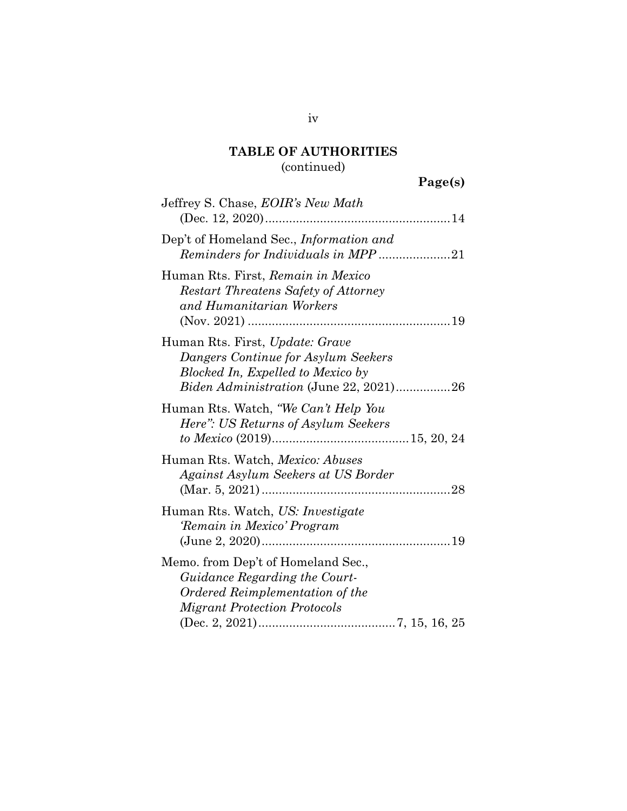### **TABLE OF AUTHORITIES**  (continued)

# **Page(s)**

| Jeffrey S. Chase, EOIR's New Math                                                                                                                            |
|--------------------------------------------------------------------------------------------------------------------------------------------------------------|
| Dep't of Homeland Sec., Information and<br>Reminders for Individuals in MPP21                                                                                |
| Human Rts. First, Remain in Mexico<br><b>Restart Threatens Safety of Attorney</b><br>and Humanitarian Workers                                                |
| Human Rts. First, Update: Grave<br>Dangers Continue for Asylum Seekers<br>Blocked In, Expelled to Mexico by<br><i>Biden Administration</i> (June 22, 2021)26 |
| Human Rts. Watch, "We Can't Help You<br>Here": US Returns of Asylum Seekers                                                                                  |
| Human Rts. Watch, <i>Mexico: Abuses</i><br>Against Asylum Seekers at US Border                                                                               |
| Human Rts. Watch, US: Investigate<br>'Remain in Mexico' Program                                                                                              |
| Memo. from Dep't of Homeland Sec.,<br>Guidance Regarding the Court-<br>Ordered Reimplementation of the<br><b>Migrant Protection Protocols</b>                |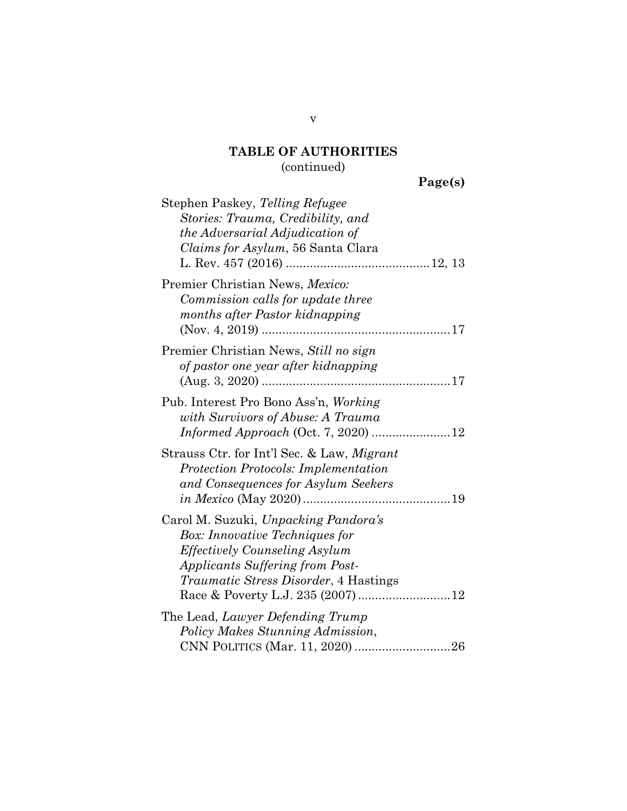### **TABLE OF AUTHORITIES**  (continued)

**Page(s)** 

| Stephen Paskey, Telling Refugee<br>Stories: Trauma, Credibility, and<br>the Adversarial Adjudication of<br><i>Claims for Asylum,</i> 56 Santa Clara                                                      |  |
|----------------------------------------------------------------------------------------------------------------------------------------------------------------------------------------------------------|--|
| Premier Christian News, Mexico:<br>Commission calls for update three<br>months after Pastor kidnapping                                                                                                   |  |
| Premier Christian News, Still no sign<br>of pastor one year after kidnapping                                                                                                                             |  |
| Pub. Interest Pro Bono Ass'n, Working<br>with Survivors of Abuse: A Trauma<br><i>Informed Approach</i> (Oct. 7, 2020) 12                                                                                 |  |
| Strauss Ctr. for Int'l Sec. & Law, <i>Migrant</i><br><b>Protection Protocols: Implementation</b><br>and Consequences for Asylum Seekers                                                                  |  |
| Carol M. Suzuki, Unpacking Pandora's<br><b>Box:</b> Innovative Techniques for<br><b>Effectively Counseling Asylum</b><br>Applicants Suffering from Post-<br><i>Traumatic Stress Disorder, 4 Hastings</i> |  |
| The Lead, Lawyer Defending Trump<br>Policy Makes Stunning Admission,                                                                                                                                     |  |
| CNN POLITICS (Mar. 11, 2020) 26                                                                                                                                                                          |  |

v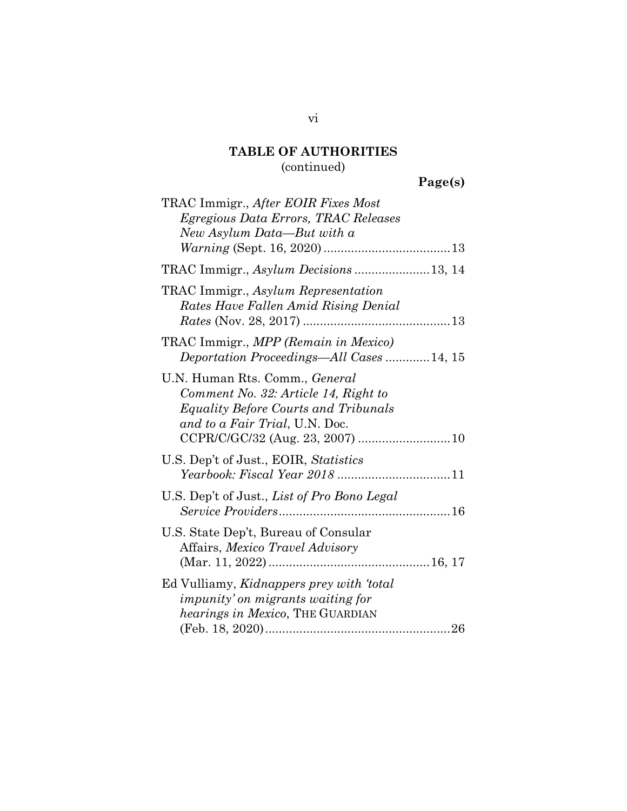### **TABLE OF AUTHORITIES**  (continued)

# **Page(s)**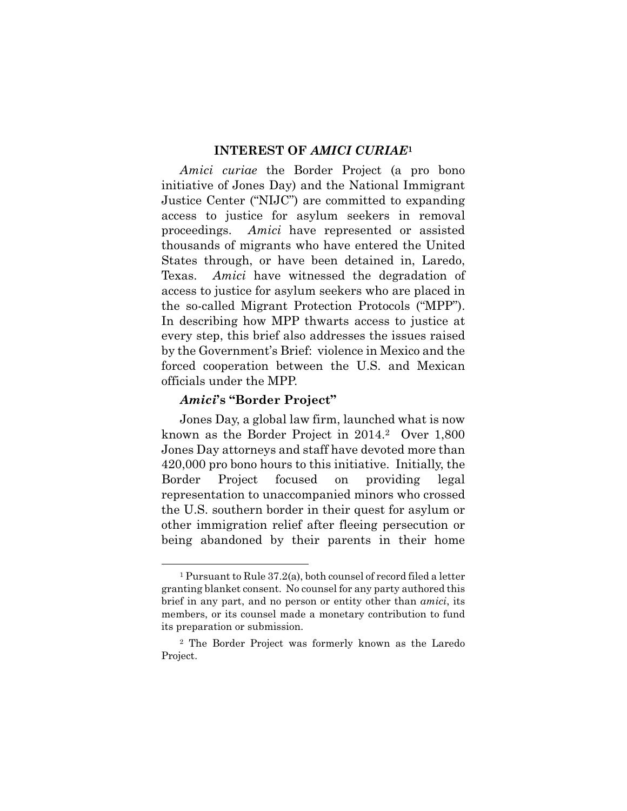#### **INTEREST OF** *AMICI CURIAE***<sup>1</sup>**

*Amici curiae* the Border Project (a pro bono initiative of Jones Day) and the National Immigrant Justice Center ("NIJC") are committed to expanding access to justice for asylum seekers in removal proceedings. *Amici* have represented or assisted thousands of migrants who have entered the United States through, or have been detained in, Laredo, Texas. *Amici* have witnessed the degradation of access to justice for asylum seekers who are placed in the so-called Migrant Protection Protocols ("MPP"). In describing how MPP thwarts access to justice at every step, this brief also addresses the issues raised by the Government's Brief: violence in Mexico and the forced cooperation between the U.S. and Mexican officials under the MPP.

#### *Amici***'s "Border Project"**

 $\overline{a}$ 

Jones Day, a global law firm, launched what is now known as the Border Project in 2014.2 Over 1,800 Jones Day attorneys and staff have devoted more than 420,000 pro bono hours to this initiative. Initially, the Border Project focused on providing legal representation to unaccompanied minors who crossed the U.S. southern border in their quest for asylum or other immigration relief after fleeing persecution or being abandoned by their parents in their home

<sup>1</sup> Pursuant to Rule 37.2(a), both counsel of record filed a letter granting blanket consent. No counsel for any party authored this brief in any part, and no person or entity other than *amici*, its members, or its counsel made a monetary contribution to fund its preparation or submission.

<sup>2</sup> The Border Project was formerly known as the Laredo Project.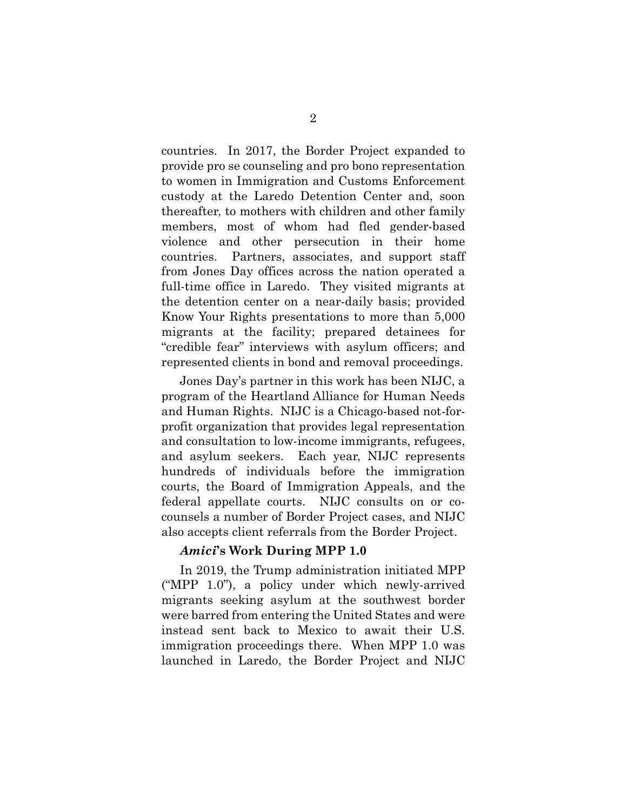countries. In 2017, the Border Project expanded to provide pro se counseling and pro bono representation to women in Immigration and Customs Enforcement custody at the Laredo Detention Center and, soon thereafter, to mothers with children and other family members, most of whom had fled gender-based violence and other persecution in their home countries. Partners, associates, and support staff from Jones Day offices across the nation operated a full-time office in Laredo. They visited migrants at the detention center on a near-daily basis; provided Know Your Rights presentations to more than 5,000 migrants at the facility; prepared detainees for "credible fear" interviews with asylum officers; and represented clients in bond and removal proceedings.

Jones Day's partner in this work has been NIJC, a program of the Heartland Alliance for Human Needs and Human Rights. NIJC is a Chicago-based not-forprofit organization that provides legal representation and consultation to low-income immigrants, refugees, and asylum seekers. Each year, NIJC represents hundreds of individuals before the immigration courts, the Board of Immigration Appeals, and the federal appellate courts. NIJC consults on or cocounsels a number of Border Project cases, and NIJC also accepts client referrals from the Border Project.

#### *Amici***'s Work During MPP 1.0**

In 2019, the Trump administration initiated MPP ("MPP 1.0"), a policy under which newly-arrived migrants seeking asylum at the southwest border were barred from entering the United States and were instead sent back to Mexico to await their U.S. immigration proceedings there. When MPP 1.0 was launched in Laredo, the Border Project and NIJC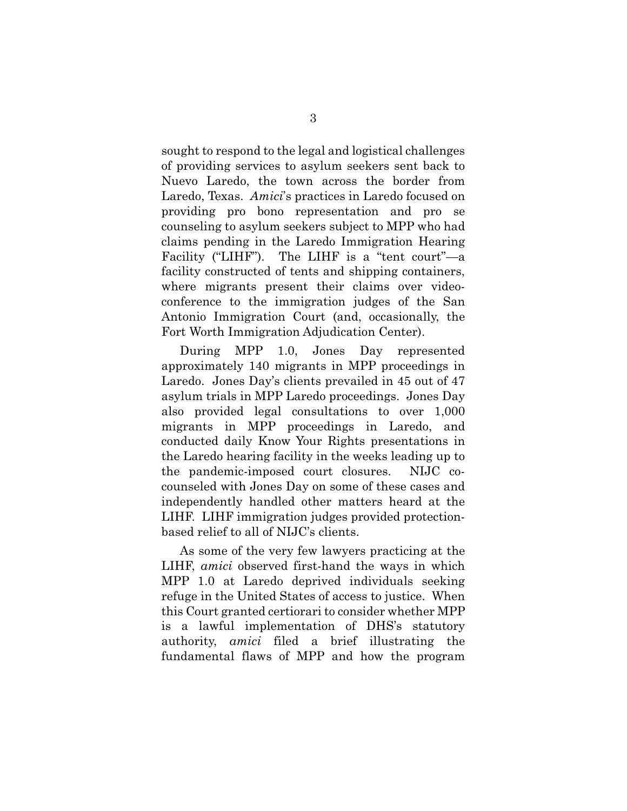sought to respond to the legal and logistical challenges of providing services to asylum seekers sent back to Nuevo Laredo, the town across the border from Laredo, Texas. *Amici*'s practices in Laredo focused on providing pro bono representation and pro se counseling to asylum seekers subject to MPP who had claims pending in the Laredo Immigration Hearing Facility ("LIHF"). The LIHF is a "tent court"—a facility constructed of tents and shipping containers, where migrants present their claims over videoconference to the immigration judges of the San Antonio Immigration Court (and, occasionally, the Fort Worth Immigration Adjudication Center).

During MPP 1.0, Jones Day represented approximately 140 migrants in MPP proceedings in Laredo. Jones Day's clients prevailed in 45 out of 47 asylum trials in MPP Laredo proceedings. Jones Day also provided legal consultations to over 1,000 migrants in MPP proceedings in Laredo, and conducted daily Know Your Rights presentations in the Laredo hearing facility in the weeks leading up to the pandemic-imposed court closures. NIJC cocounseled with Jones Day on some of these cases and independently handled other matters heard at the LIHF. LIHF immigration judges provided protectionbased relief to all of NIJC's clients.

As some of the very few lawyers practicing at the LIHF, *amici* observed first-hand the ways in which MPP 1.0 at Laredo deprived individuals seeking refuge in the United States of access to justice. When this Court granted certiorari to consider whether MPP is a lawful implementation of DHS's statutory authority, *amici* filed a brief illustrating the fundamental flaws of MPP and how the program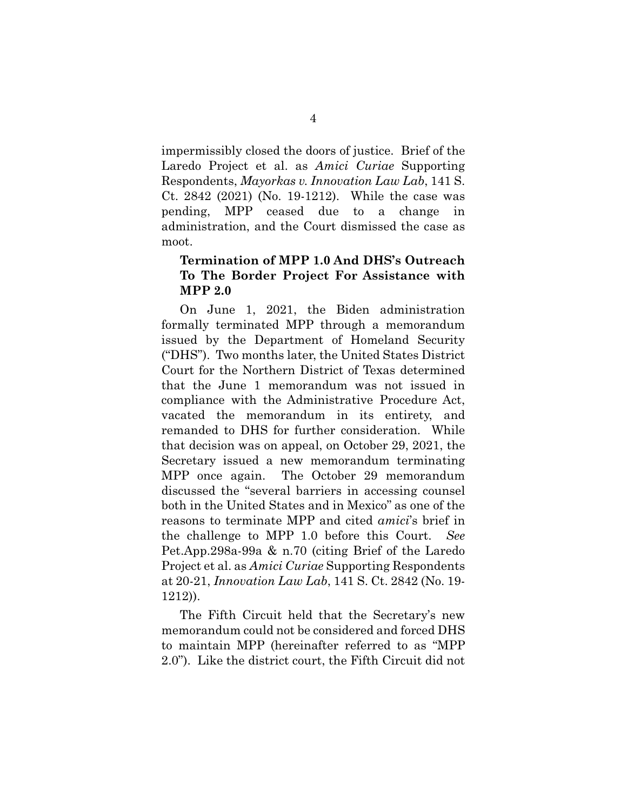impermissibly closed the doors of justice. Brief of the Laredo Project et al. as *Amici Curiae* Supporting Respondents, *Mayorkas v. Innovation Law Lab*, 141 S. Ct. 2842 (2021) (No. 19-1212). While the case was pending, MPP ceased due to a change in administration, and the Court dismissed the case as moot.

#### **Termination of MPP 1.0 And DHS's Outreach To The Border Project For Assistance with MPP 2.0**

On June 1, 2021, the Biden administration formally terminated MPP through a memorandum issued by the Department of Homeland Security ("DHS"). Two months later, the United States District Court for the Northern District of Texas determined that the June 1 memorandum was not issued in compliance with the Administrative Procedure Act, vacated the memorandum in its entirety, and remanded to DHS for further consideration. While that decision was on appeal, on October 29, 2021, the Secretary issued a new memorandum terminating MPP once again. The October 29 memorandum discussed the "several barriers in accessing counsel both in the United States and in Mexico" as one of the reasons to terminate MPP and cited *amici*'s brief in the challenge to MPP 1.0 before this Court. *See* Pet.App.298a-99a & n.70 (citing Brief of the Laredo Project et al. as *Amici Curiae* Supporting Respondents at 20-21, *Innovation Law Lab*, 141 S. Ct. 2842 (No. 19- 1212)).

The Fifth Circuit held that the Secretary's new memorandum could not be considered and forced DHS to maintain MPP (hereinafter referred to as "MPP 2.0"). Like the district court, the Fifth Circuit did not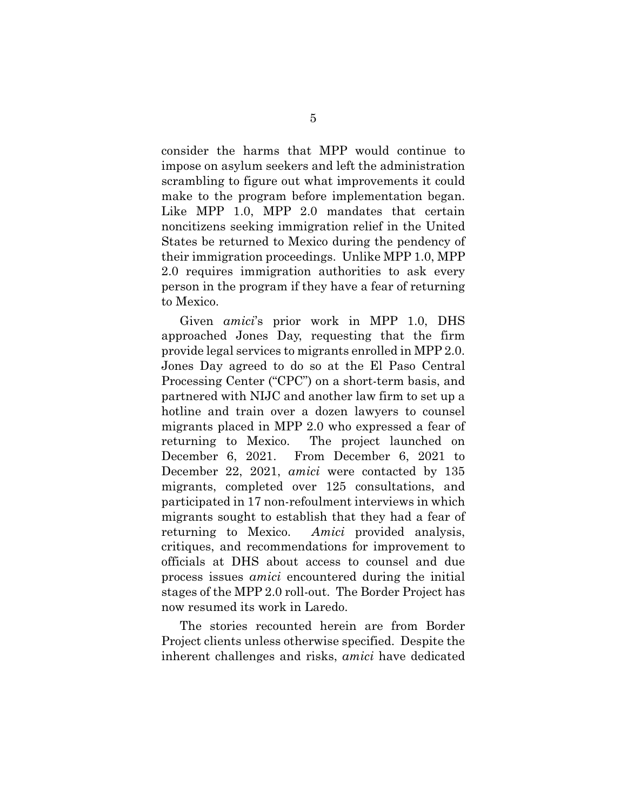consider the harms that MPP would continue to impose on asylum seekers and left the administration scrambling to figure out what improvements it could make to the program before implementation began. Like MPP 1.0, MPP 2.0 mandates that certain noncitizens seeking immigration relief in the United States be returned to Mexico during the pendency of their immigration proceedings. Unlike MPP 1.0, MPP 2.0 requires immigration authorities to ask every person in the program if they have a fear of returning to Mexico.

Given *amici*'s prior work in MPP 1.0, DHS approached Jones Day, requesting that the firm provide legal services to migrants enrolled in MPP 2.0. Jones Day agreed to do so at the El Paso Central Processing Center ("CPC") on a short-term basis, and partnered with NIJC and another law firm to set up a hotline and train over a dozen lawyers to counsel migrants placed in MPP 2.0 who expressed a fear of returning to Mexico. The project launched on December 6, 2021. From December 6, 2021 to December 22, 2021, *amici* were contacted by 135 migrants, completed over 125 consultations, and participated in 17 non-refoulment interviews in which migrants sought to establish that they had a fear of returning to Mexico. *Amici* provided analysis, critiques, and recommendations for improvement to officials at DHS about access to counsel and due process issues *amici* encountered during the initial stages of the MPP 2.0 roll-out. The Border Project has now resumed its work in Laredo.

The stories recounted herein are from Border Project clients unless otherwise specified. Despite the inherent challenges and risks, *amici* have dedicated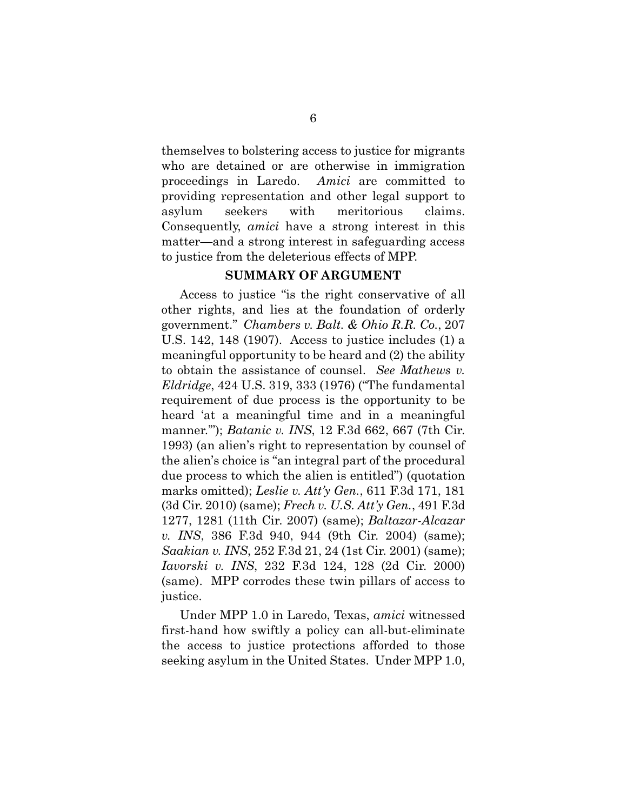themselves to bolstering access to justice for migrants who are detained or are otherwise in immigration proceedings in Laredo. *Amici* are committed to providing representation and other legal support to asylum seekers with meritorious claims. Consequently, *amici* have a strong interest in this matter—and a strong interest in safeguarding access to justice from the deleterious effects of MPP.

#### **SUMMARY OF ARGUMENT**

Access to justice "is the right conservative of all other rights, and lies at the foundation of orderly government." *Chambers v. Balt. & Ohio R.R. Co.*, 207 U.S. 142, 148 (1907). Access to justice includes (1) a meaningful opportunity to be heard and (2) the ability to obtain the assistance of counsel. *See Mathews v. Eldridge*, 424 U.S. 319, 333 (1976) ("The fundamental requirement of due process is the opportunity to be heard 'at a meaningful time and in a meaningful manner.'"); *Batanic v. INS*, 12 F.3d 662, 667 (7th Cir. 1993) (an alien's right to representation by counsel of the alien's choice is "an integral part of the procedural due process to which the alien is entitled") (quotation marks omitted); *Leslie v. Att'y Gen.*, 611 F.3d 171, 181 (3d Cir. 2010) (same); *Frech v. U.S. Att'y Gen.*, 491 F.3d 1277, 1281 (11th Cir. 2007) (same); *Baltazar-Alcazar v. INS*, 386 F.3d 940, 944 (9th Cir. 2004) (same); *Saakian v. INS*, 252 F.3d 21, 24 (1st Cir. 2001) (same); *Iavorski v. INS*, 232 F.3d 124, 128 (2d Cir. 2000) (same). MPP corrodes these twin pillars of access to justice.

Under MPP 1.0 in Laredo, Texas, *amici* witnessed first-hand how swiftly a policy can all-but-eliminate the access to justice protections afforded to those seeking asylum in the United States. Under MPP 1.0,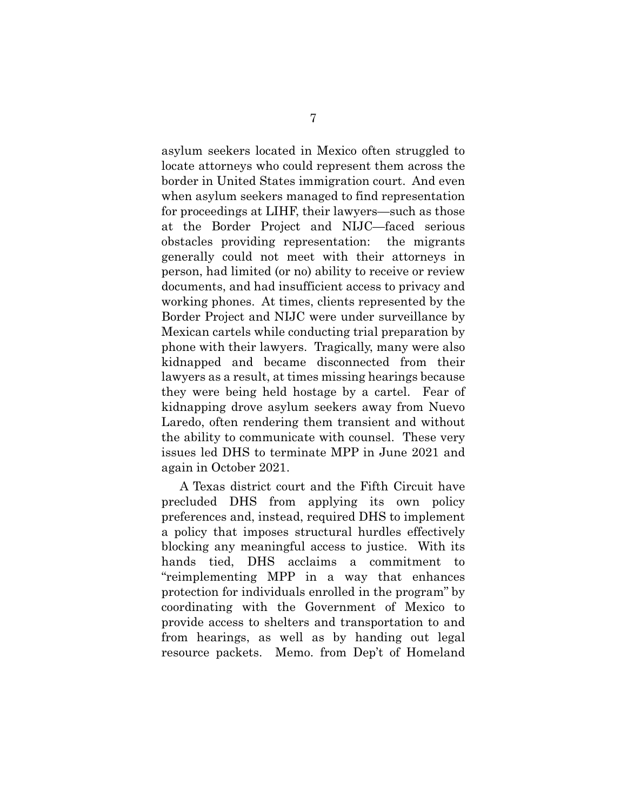asylum seekers located in Mexico often struggled to locate attorneys who could represent them across the border in United States immigration court. And even when asylum seekers managed to find representation for proceedings at LIHF, their lawyers—such as those at the Border Project and NIJC—faced serious obstacles providing representation: the migrants generally could not meet with their attorneys in person, had limited (or no) ability to receive or review documents, and had insufficient access to privacy and working phones. At times, clients represented by the Border Project and NIJC were under surveillance by Mexican cartels while conducting trial preparation by phone with their lawyers. Tragically, many were also kidnapped and became disconnected from their lawyers as a result, at times missing hearings because they were being held hostage by a cartel. Fear of kidnapping drove asylum seekers away from Nuevo Laredo, often rendering them transient and without the ability to communicate with counsel. These very issues led DHS to terminate MPP in June 2021 and again in October 2021.

A Texas district court and the Fifth Circuit have precluded DHS from applying its own policy preferences and, instead, required DHS to implement a policy that imposes structural hurdles effectively blocking any meaningful access to justice. With its hands tied, DHS acclaims a commitment to "reimplementing MPP in a way that enhances protection for individuals enrolled in the program" by coordinating with the Government of Mexico to provide access to shelters and transportation to and from hearings, as well as by handing out legal resource packets. Memo. from Dep't of Homeland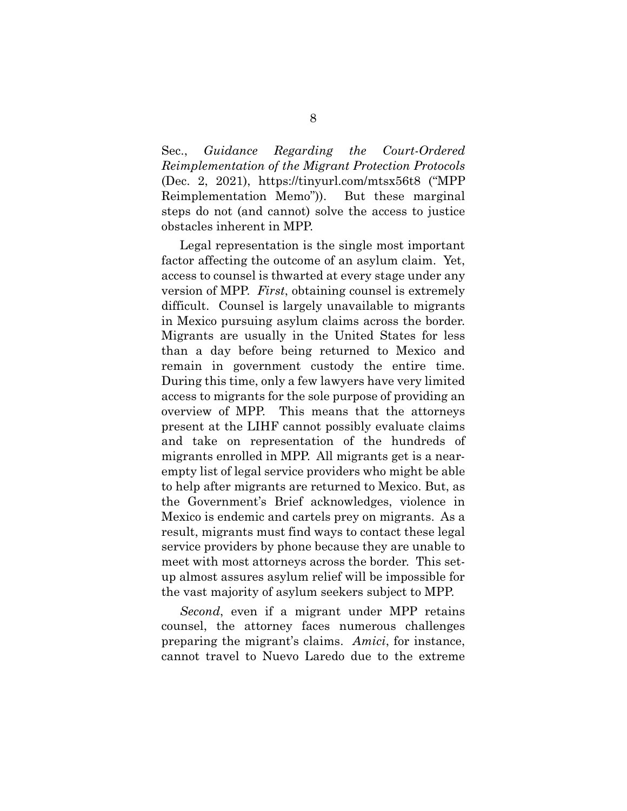Sec., *Guidance Regarding the Court-Ordered Reimplementation of the Migrant Protection Protocols* (Dec. 2, 2021), https://tinyurl.com/mtsx56t8 ("MPP Reimplementation Memo")). But these marginal steps do not (and cannot) solve the access to justice obstacles inherent in MPP.

Legal representation is the single most important factor affecting the outcome of an asylum claim. Yet, access to counsel is thwarted at every stage under any version of MPP. *First*, obtaining counsel is extremely difficult. Counsel is largely unavailable to migrants in Mexico pursuing asylum claims across the border. Migrants are usually in the United States for less than a day before being returned to Mexico and remain in government custody the entire time. During this time, only a few lawyers have very limited access to migrants for the sole purpose of providing an overview of MPP. This means that the attorneys present at the LIHF cannot possibly evaluate claims and take on representation of the hundreds of migrants enrolled in MPP. All migrants get is a nearempty list of legal service providers who might be able to help after migrants are returned to Mexico. But, as the Government's Brief acknowledges, violence in Mexico is endemic and cartels prey on migrants. As a result, migrants must find ways to contact these legal service providers by phone because they are unable to meet with most attorneys across the border. This setup almost assures asylum relief will be impossible for the vast majority of asylum seekers subject to MPP.

*Second*, even if a migrant under MPP retains counsel, the attorney faces numerous challenges preparing the migrant's claims. *Amici*, for instance, cannot travel to Nuevo Laredo due to the extreme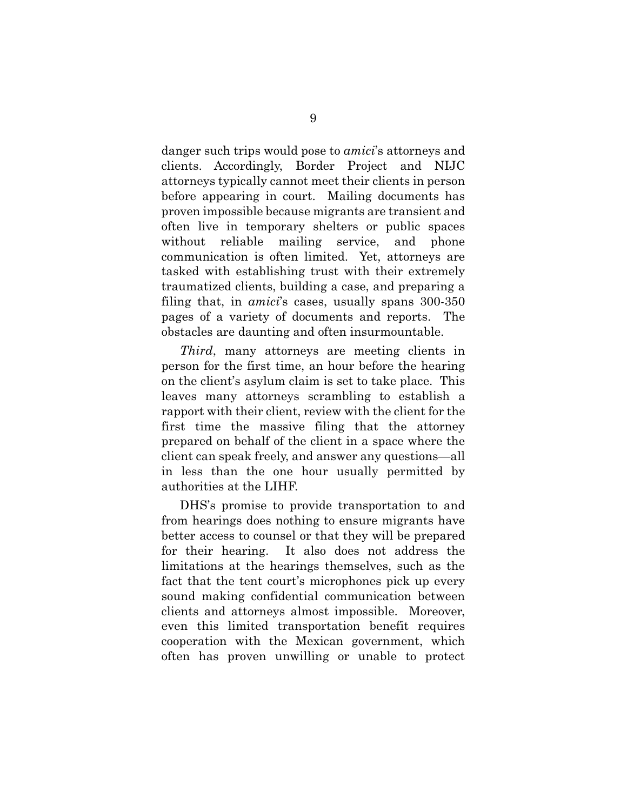danger such trips would pose to *amici*'s attorneys and clients. Accordingly, Border Project and NIJC attorneys typically cannot meet their clients in person before appearing in court. Mailing documents has proven impossible because migrants are transient and often live in temporary shelters or public spaces without reliable mailing service, and phone communication is often limited. Yet, attorneys are tasked with establishing trust with their extremely traumatized clients, building a case, and preparing a filing that, in *amici*'s cases, usually spans 300-350 pages of a variety of documents and reports. The obstacles are daunting and often insurmountable.

*Third*, many attorneys are meeting clients in person for the first time, an hour before the hearing on the client's asylum claim is set to take place. This leaves many attorneys scrambling to establish a rapport with their client, review with the client for the first time the massive filing that the attorney prepared on behalf of the client in a space where the client can speak freely, and answer any questions—all in less than the one hour usually permitted by authorities at the LIHF.

DHS's promise to provide transportation to and from hearings does nothing to ensure migrants have better access to counsel or that they will be prepared for their hearing. It also does not address the limitations at the hearings themselves, such as the fact that the tent court's microphones pick up every sound making confidential communication between clients and attorneys almost impossible. Moreover, even this limited transportation benefit requires cooperation with the Mexican government, which often has proven unwilling or unable to protect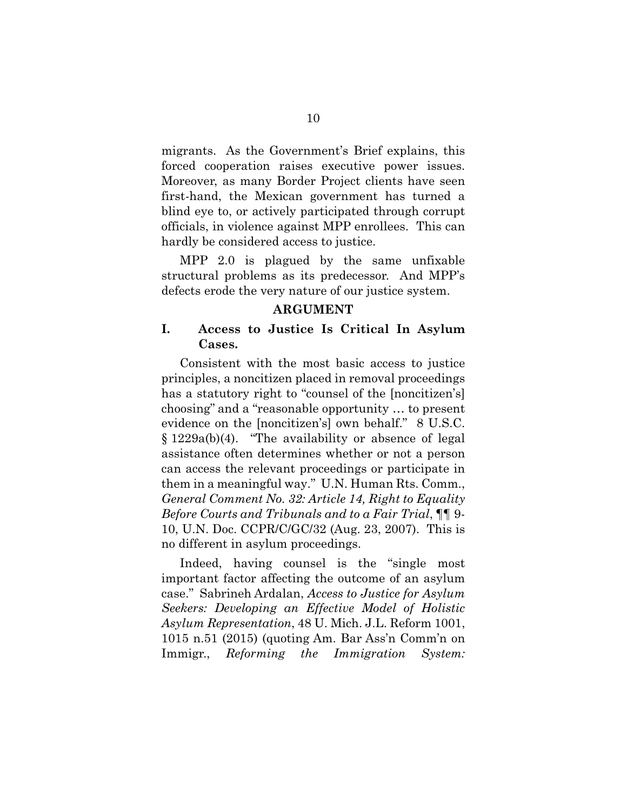migrants. As the Government's Brief explains, this forced cooperation raises executive power issues. Moreover, as many Border Project clients have seen first-hand, the Mexican government has turned a blind eye to, or actively participated through corrupt officials, in violence against MPP enrollees. This can hardly be considered access to justice.

MPP 2.0 is plagued by the same unfixable structural problems as its predecessor. And MPP's defects erode the very nature of our justice system.

#### **ARGUMENT**

#### **I. Access to Justice Is Critical In Asylum Cases.**

Consistent with the most basic access to justice principles, a noncitizen placed in removal proceedings has a statutory right to "counsel of the [noncitizen's] choosing" and a "reasonable opportunity … to present evidence on the [noncitizen's] own behalf." 8 U.S.C. § 1229a(b)(4). "The availability or absence of legal assistance often determines whether or not a person can access the relevant proceedings or participate in them in a meaningful way." U.N. Human Rts. Comm., *General Comment No. 32: Article 14, Right to Equality Before Courts and Tribunals and to a Fair Trial*, ¶¶ 9- 10, U.N. Doc. CCPR/C/GC/32 (Aug. 23, 2007). This is no different in asylum proceedings.

Indeed, having counsel is the "single most important factor affecting the outcome of an asylum case." Sabrineh Ardalan, *Access to Justice for Asylum Seekers: Developing an Effective Model of Holistic Asylum Representation*, 48 U. Mich. J.L. Reform 1001, 1015 n.51 (2015) (quoting Am. Bar Ass'n Comm'n on Immigr., *Reforming the Immigration System:*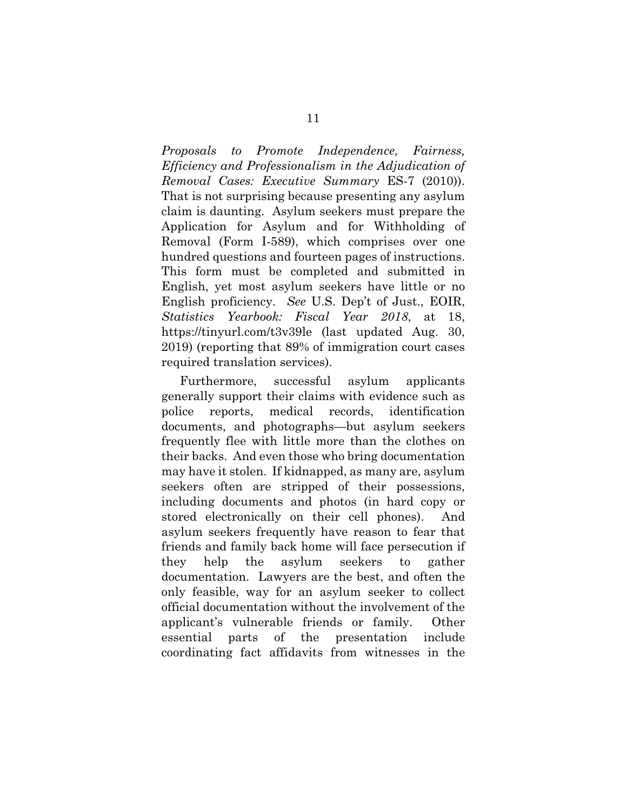*Proposals to Promote Independence, Fairness, Efficiency and Professionalism in the Adjudication of Removal Cases: Executive Summary* ES-7 (2010)). That is not surprising because presenting any asylum claim is daunting. Asylum seekers must prepare the Application for Asylum and for Withholding of Removal (Form I-589), which comprises over one hundred questions and fourteen pages of instructions. This form must be completed and submitted in English, yet most asylum seekers have little or no English proficiency. *See* U.S. Dep't of Just., EOIR, *Statistics Yearbook: Fiscal Year 2018*, at 18, https://tinyurl.com/t3v39le (last updated Aug. 30, 2019) (reporting that 89% of immigration court cases required translation services).

Furthermore, successful asylum applicants generally support their claims with evidence such as police reports, medical records, identification documents, and photographs—but asylum seekers frequently flee with little more than the clothes on their backs. And even those who bring documentation may have it stolen. If kidnapped, as many are, asylum seekers often are stripped of their possessions, including documents and photos (in hard copy or stored electronically on their cell phones). And asylum seekers frequently have reason to fear that friends and family back home will face persecution if they help the asylum seekers to gather documentation. Lawyers are the best, and often the only feasible, way for an asylum seeker to collect official documentation without the involvement of the applicant's vulnerable friends or family. Other essential parts of the presentation include coordinating fact affidavits from witnesses in the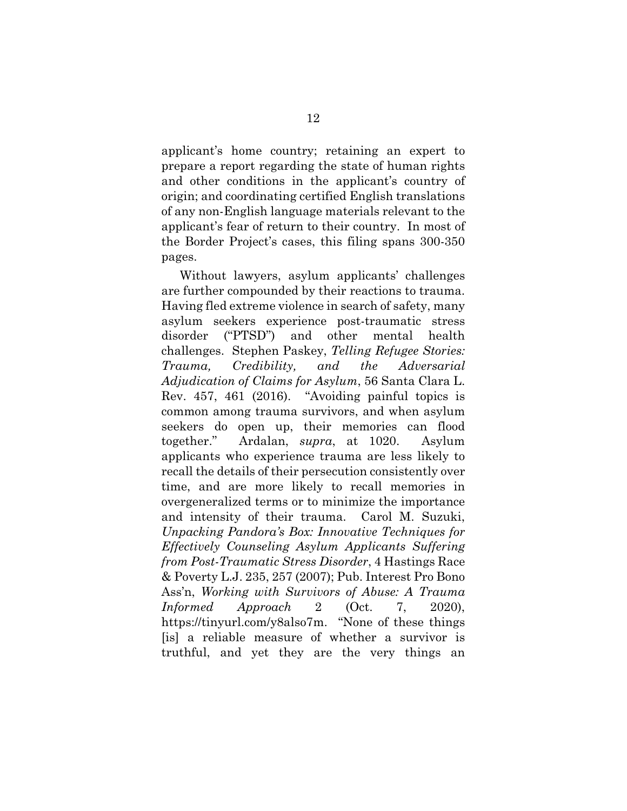applicant's home country; retaining an expert to prepare a report regarding the state of human rights and other conditions in the applicant's country of origin; and coordinating certified English translations of any non-English language materials relevant to the applicant's fear of return to their country. In most of the Border Project's cases, this filing spans 300-350 pages.

Without lawyers, asylum applicants' challenges are further compounded by their reactions to trauma. Having fled extreme violence in search of safety, many asylum seekers experience post-traumatic stress disorder ("PTSD") and other mental health challenges. Stephen Paskey, *Telling Refugee Stories: Trauma, Credibility, and the Adversarial Adjudication of Claims for Asylum*, 56 Santa Clara L. Rev. 457, 461 (2016). "Avoiding painful topics is common among trauma survivors, and when asylum seekers do open up, their memories can flood together." Ardalan, *supra*, at 1020. Asylum applicants who experience trauma are less likely to recall the details of their persecution consistently over time, and are more likely to recall memories in overgeneralized terms or to minimize the importance and intensity of their trauma. Carol M. Suzuki, *Unpacking Pandora's Box: Innovative Techniques for Effectively Counseling Asylum Applicants Suffering from Post-Traumatic Stress Disorder*, 4 Hastings Race & Poverty L.J. 235, 257 (2007); Pub. Interest Pro Bono Ass'n, *Working with Survivors of Abuse: A Trauma Informed Approach* 2 (Oct. 7, 2020), https://tinyurl.com/y8also7m. "None of these things [is] a reliable measure of whether a survivor is truthful, and yet they are the very things an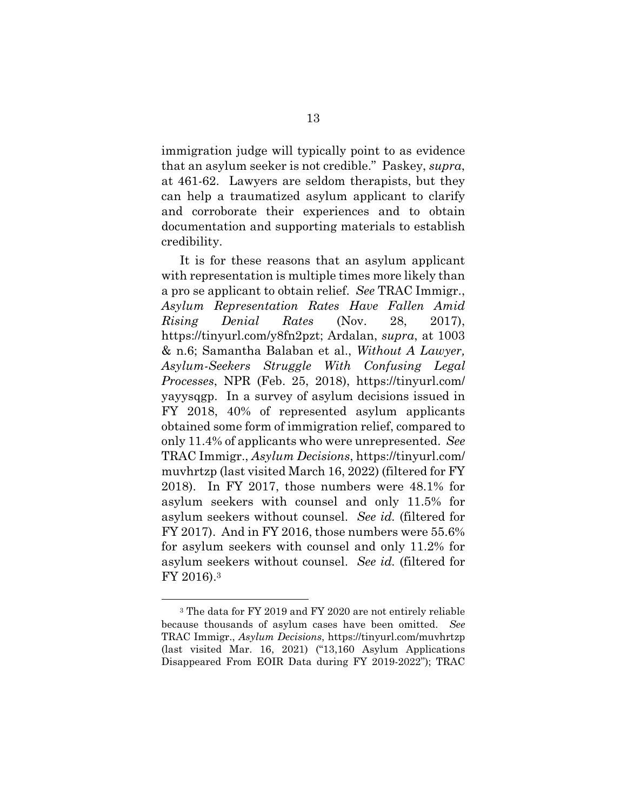immigration judge will typically point to as evidence that an asylum seeker is not credible." Paskey, *supra*, at 461-62. Lawyers are seldom therapists, but they can help a traumatized asylum applicant to clarify and corroborate their experiences and to obtain documentation and supporting materials to establish credibility.

It is for these reasons that an asylum applicant with representation is multiple times more likely than a pro se applicant to obtain relief. *See* TRAC Immigr., *Asylum Representation Rates Have Fallen Amid Rising Denial Rates* (Nov. 28, 2017), https://tinyurl.com/y8fn2pzt; Ardalan, *supra*, at 1003 & n.6; Samantha Balaban et al., *Without A Lawyer, Asylum-Seekers Struggle With Confusing Legal Processes*, NPR (Feb. 25, 2018), https://tinyurl.com/ yayysqgp. In a survey of asylum decisions issued in FY 2018, 40% of represented asylum applicants obtained some form of immigration relief, compared to only 11.4% of applicants who were unrepresented. *See*  TRAC Immigr., *Asylum Decisions*, https://tinyurl.com/ muvhrtzp (last visited March 16, 2022) (filtered for FY 2018). In FY 2017, those numbers were 48.1% for asylum seekers with counsel and only 11.5% for asylum seekers without counsel. *See id.* (filtered for FY 2017). And in FY 2016, those numbers were 55.6% for asylum seekers with counsel and only 11.2% for asylum seekers without counsel. *See id.* (filtered for FY 2016).3

 $\overline{a}$ 

<sup>3</sup> The data for FY 2019 and FY 2020 are not entirely reliable because thousands of asylum cases have been omitted. *See*  TRAC Immigr., *Asylum Decisions*, https://tinyurl.com/muvhrtzp (last visited Mar. 16, 2021) ("13,160 Asylum Applications Disappeared From EOIR Data during FY 2019-2022"); TRAC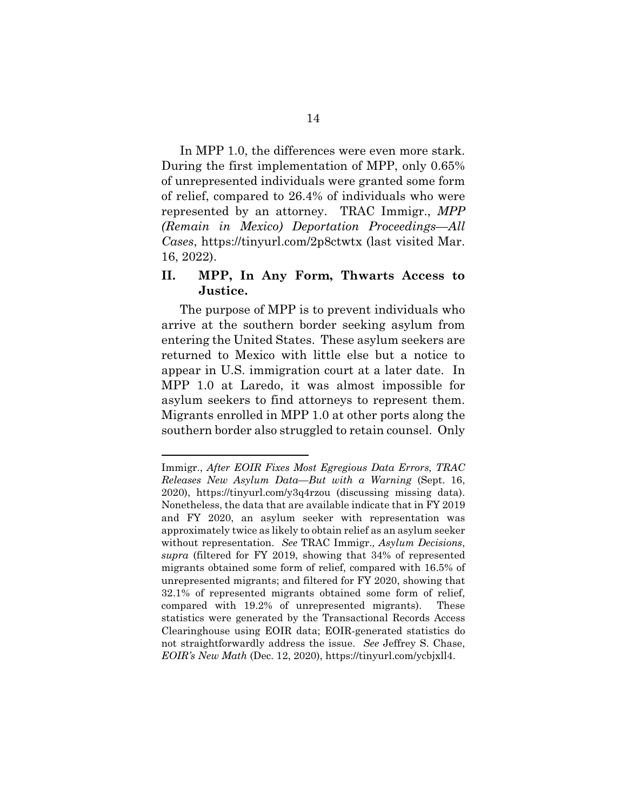In MPP 1.0, the differences were even more stark. During the first implementation of MPP, only 0.65% of unrepresented individuals were granted some form of relief, compared to 26.4% of individuals who were represented by an attorney. TRAC Immigr., *MPP (Remain in Mexico) Deportation Proceedings—All Cases*, https://tinyurl.com/2p8ctwtx (last visited Mar. 16, 2022).

#### **II. MPP, In Any Form, Thwarts Access to Justice.**

The purpose of MPP is to prevent individuals who arrive at the southern border seeking asylum from entering the United States. These asylum seekers are returned to Mexico with little else but a notice to appear in U.S. immigration court at a later date. In MPP 1.0 at Laredo, it was almost impossible for asylum seekers to find attorneys to represent them. Migrants enrolled in MPP 1.0 at other ports along the southern border also struggled to retain counsel. Only

 $\overline{a}$ 

Immigr., *After EOIR Fixes Most Egregious Data Errors, TRAC Releases New Asylum Data—But with a Warning* (Sept. 16, 2020), https://tinyurl.com/y3q4rzou (discussing missing data). Nonetheless, the data that are available indicate that in FY 2019 and FY 2020, an asylum seeker with representation was approximately twice as likely to obtain relief as an asylum seeker without representation. *See* TRAC Immigr.*, Asylum Decisions*, *supra* (filtered for FY 2019, showing that 34% of represented migrants obtained some form of relief, compared with 16.5% of unrepresented migrants; and filtered for FY 2020, showing that 32.1% of represented migrants obtained some form of relief, compared with 19.2% of unrepresented migrants). These statistics were generated by the Transactional Records Access Clearinghouse using EOIR data; EOIR-generated statistics do not straightforwardly address the issue. *See* Jeffrey S. Chase, *EOIR's New Math* (Dec. 12, 2020), https://tinyurl.com/ycbjxll4.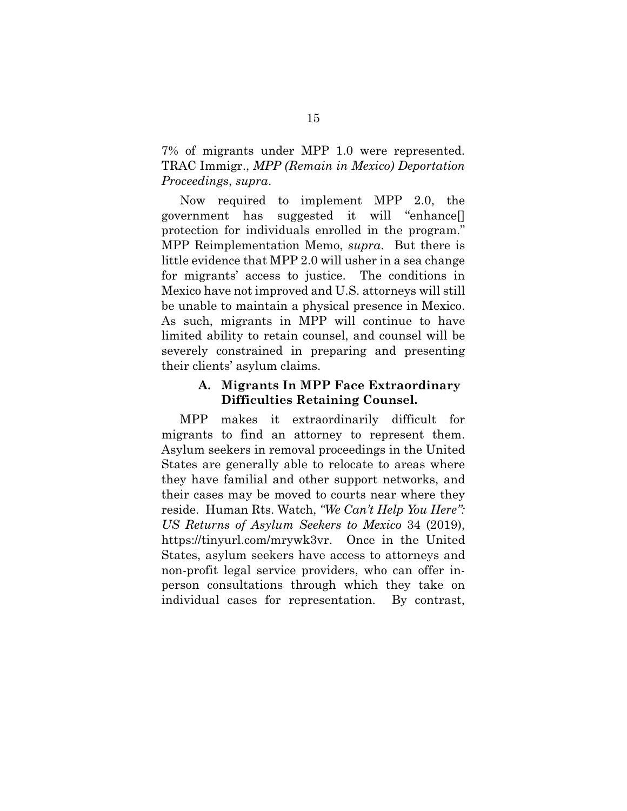7% of migrants under MPP 1.0 were represented. TRAC Immigr., *MPP (Remain in Mexico) Deportation Proceedings*, *supra*.

Now required to implement MPP 2.0, the government has suggested it will "enhance[] protection for individuals enrolled in the program." MPP Reimplementation Memo, *supra*. But there is little evidence that MPP 2.0 will usher in a sea change for migrants' access to justice. The conditions in Mexico have not improved and U.S. attorneys will still be unable to maintain a physical presence in Mexico. As such, migrants in MPP will continue to have limited ability to retain counsel, and counsel will be severely constrained in preparing and presenting their clients' asylum claims.

#### **A. Migrants In MPP Face Extraordinary Difficulties Retaining Counsel.**

MPP makes it extraordinarily difficult for migrants to find an attorney to represent them. Asylum seekers in removal proceedings in the United States are generally able to relocate to areas where they have familial and other support networks, and their cases may be moved to courts near where they reside. Human Rts. Watch, *"We Can't Help You Here": US Returns of Asylum Seekers to Mexico* 34 (2019), https://tinyurl.com/mrywk3vr. Once in the United States, asylum seekers have access to attorneys and non-profit legal service providers, who can offer inperson consultations through which they take on individual cases for representation. By contrast,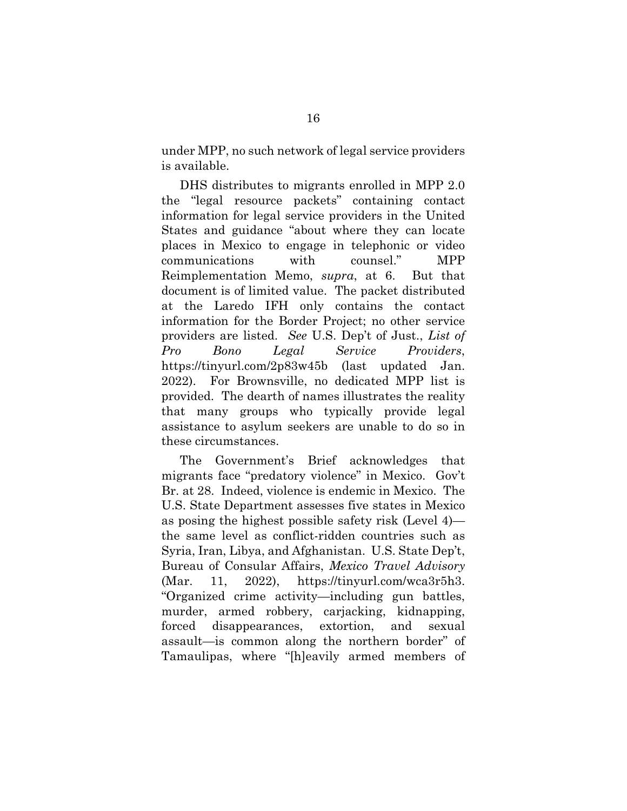under MPP, no such network of legal service providers is available.

DHS distributes to migrants enrolled in MPP 2.0 the "legal resource packets" containing contact information for legal service providers in the United States and guidance "about where they can locate places in Mexico to engage in telephonic or video communications with counsel." MPP Reimplementation Memo, *supra*, at 6. But that document is of limited value. The packet distributed at the Laredo IFH only contains the contact information for the Border Project; no other service providers are listed. *See* U.S. Dep't of Just., *List of Pro Bono Legal Service Providers*, https://tinyurl.com/2p83w45b (last updated Jan. 2022). For Brownsville, no dedicated MPP list is provided. The dearth of names illustrates the reality that many groups who typically provide legal assistance to asylum seekers are unable to do so in these circumstances.

The Government's Brief acknowledges that migrants face "predatory violence" in Mexico. Gov't Br. at 28. Indeed, violence is endemic in Mexico. The U.S. State Department assesses five states in Mexico as posing the highest possible safety risk (Level 4) the same level as conflict-ridden countries such as Syria, Iran, Libya, and Afghanistan. U.S. State Dep't, Bureau of Consular Affairs, *Mexico Travel Advisory* (Mar. 11, 2022), https://tinyurl.com/wca3r5h3. "Organized crime activity—including gun battles, murder, armed robbery, carjacking, kidnapping, forced disappearances, extortion, and sexual assault—is common along the northern border" of Tamaulipas, where "[h]eavily armed members of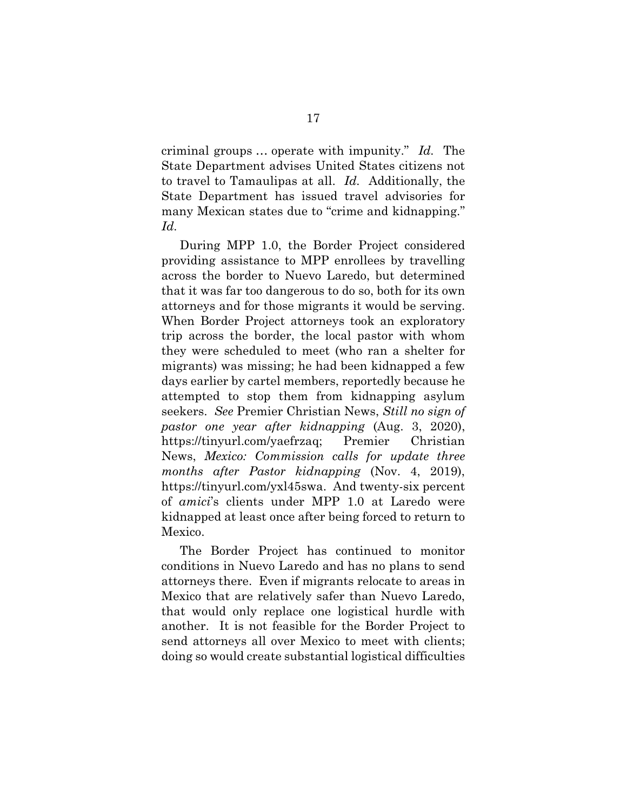criminal groups … operate with impunity." *Id.* The State Department advises United States citizens not to travel to Tamaulipas at all. *Id.* Additionally, the State Department has issued travel advisories for many Mexican states due to "crime and kidnapping." *Id.* 

During MPP 1.0, the Border Project considered providing assistance to MPP enrollees by travelling across the border to Nuevo Laredo, but determined that it was far too dangerous to do so, both for its own attorneys and for those migrants it would be serving. When Border Project attorneys took an exploratory trip across the border, the local pastor with whom they were scheduled to meet (who ran a shelter for migrants) was missing; he had been kidnapped a few days earlier by cartel members, reportedly because he attempted to stop them from kidnapping asylum seekers. *See* Premier Christian News, *Still no sign of pastor one year after kidnapping* (Aug. 3, 2020), https://tinyurl.com/yaefrzaq; Premier Christian News, *Mexico: Commission calls for update three months after Pastor kidnapping* (Nov. 4, 2019), https://tinyurl.com/yxl45swa. And twenty-six percent of *amici*'s clients under MPP 1.0 at Laredo were kidnapped at least once after being forced to return to Mexico.

The Border Project has continued to monitor conditions in Nuevo Laredo and has no plans to send attorneys there. Even if migrants relocate to areas in Mexico that are relatively safer than Nuevo Laredo, that would only replace one logistical hurdle with another. It is not feasible for the Border Project to send attorneys all over Mexico to meet with clients; doing so would create substantial logistical difficulties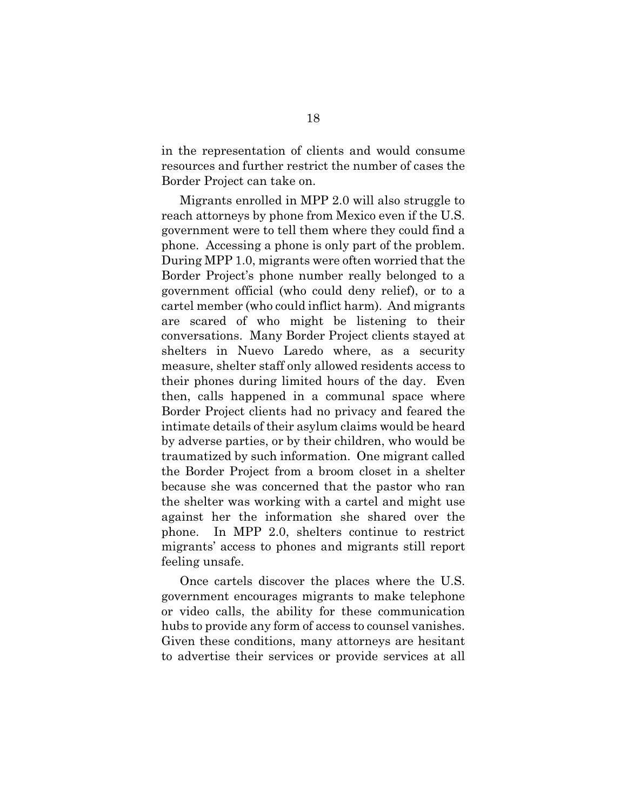in the representation of clients and would consume resources and further restrict the number of cases the Border Project can take on.

Migrants enrolled in MPP 2.0 will also struggle to reach attorneys by phone from Mexico even if the U.S. government were to tell them where they could find a phone. Accessing a phone is only part of the problem. During MPP 1.0, migrants were often worried that the Border Project's phone number really belonged to a government official (who could deny relief), or to a cartel member (who could inflict harm). And migrants are scared of who might be listening to their conversations. Many Border Project clients stayed at shelters in Nuevo Laredo where, as a security measure, shelter staff only allowed residents access to their phones during limited hours of the day. Even then, calls happened in a communal space where Border Project clients had no privacy and feared the intimate details of their asylum claims would be heard by adverse parties, or by their children, who would be traumatized by such information. One migrant called the Border Project from a broom closet in a shelter because she was concerned that the pastor who ran the shelter was working with a cartel and might use against her the information she shared over the phone. In MPP 2.0, shelters continue to restrict migrants' access to phones and migrants still report feeling unsafe.

Once cartels discover the places where the U.S. government encourages migrants to make telephone or video calls, the ability for these communication hubs to provide any form of access to counsel vanishes. Given these conditions, many attorneys are hesitant to advertise their services or provide services at all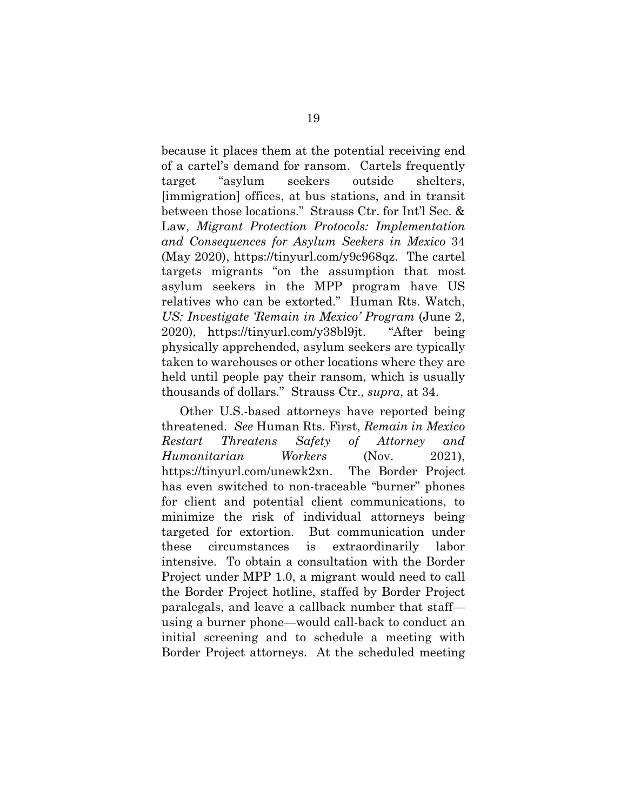because it places them at the potential receiving end of a cartel's demand for ransom. Cartels frequently target "asylum seekers outside shelters, [immigration] offices, at bus stations, and in transit between those locations." Strauss Ctr. for Int'l Sec. & Law, *Migrant Protection Protocols: Implementation and Consequences for Asylum Seekers in Mexico* 34 (May 2020), https://tinyurl.com/y9c968qz. The cartel targets migrants "on the assumption that most asylum seekers in the MPP program have US relatives who can be extorted." Human Rts. Watch, *US: Investigate 'Remain in Mexico' Program* (June 2, 2020), https://tinyurl.com/y38bl9jt. "After being physically apprehended, asylum seekers are typically taken to warehouses or other locations where they are held until people pay their ransom, which is usually thousands of dollars." Strauss Ctr., *supra*, at 34.

Other U.S.-based attorneys have reported being threatened. *See* Human Rts. First, *Remain in Mexico Restart Threatens Safety of Attorney and Humanitarian Workers* (Nov. 2021), https://tinyurl.com/unewk2xn. The Border Project has even switched to non-traceable "burner" phones for client and potential client communications, to minimize the risk of individual attorneys being targeted for extortion. But communication under these circumstances is extraordinarily labor intensive. To obtain a consultation with the Border Project under MPP 1.0, a migrant would need to call the Border Project hotline, staffed by Border Project paralegals, and leave a callback number that staff using a burner phone—would call-back to conduct an initial screening and to schedule a meeting with Border Project attorneys. At the scheduled meeting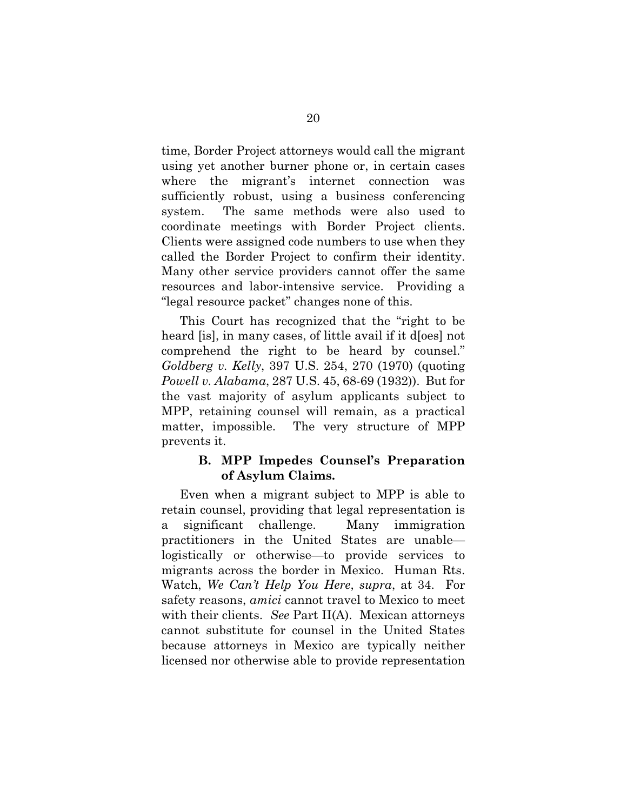time, Border Project attorneys would call the migrant using yet another burner phone or, in certain cases where the migrant's internet connection was sufficiently robust, using a business conferencing system. The same methods were also used to coordinate meetings with Border Project clients. Clients were assigned code numbers to use when they called the Border Project to confirm their identity. Many other service providers cannot offer the same resources and labor-intensive service. Providing a "legal resource packet" changes none of this.

This Court has recognized that the "right to be heard [is], in many cases, of little avail if it does not comprehend the right to be heard by counsel." *Goldberg v. Kelly*, 397 U.S. 254, 270 (1970) (quoting *Powell v. Alabama*, 287 U.S. 45, 68-69 (1932)). But for the vast majority of asylum applicants subject to MPP, retaining counsel will remain, as a practical matter, impossible. The very structure of MPP prevents it.

#### **B. MPP Impedes Counsel's Preparation of Asylum Claims.**

Even when a migrant subject to MPP is able to retain counsel, providing that legal representation is a significant challenge. Many immigration practitioners in the United States are unable logistically or otherwise—to provide services to migrants across the border in Mexico. Human Rts. Watch, *We Can't Help You Here*, *supra*, at 34. For safety reasons, *amici* cannot travel to Mexico to meet with their clients. *See* Part II(A). Mexican attorneys cannot substitute for counsel in the United States because attorneys in Mexico are typically neither licensed nor otherwise able to provide representation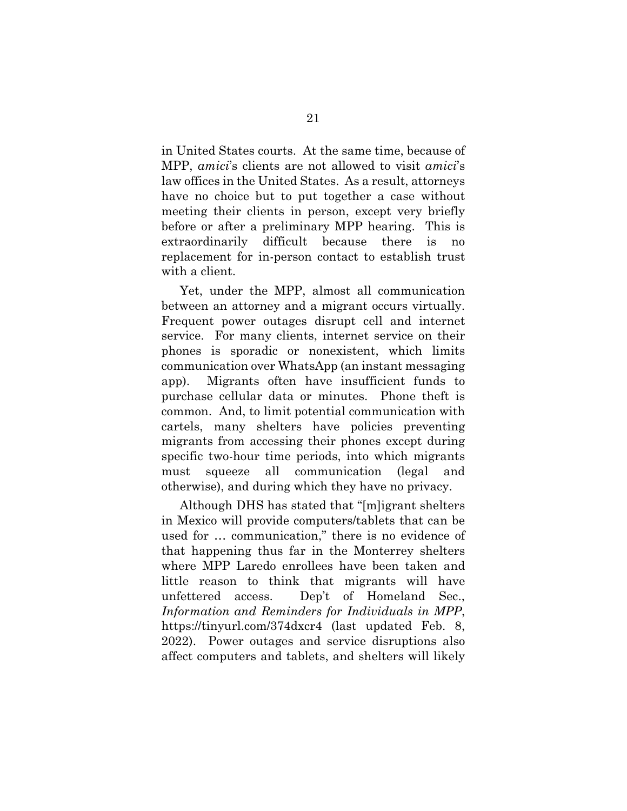in United States courts. At the same time, because of MPP, *amici*'s clients are not allowed to visit *amici*'s law offices in the United States. As a result, attorneys have no choice but to put together a case without meeting their clients in person, except very briefly before or after a preliminary MPP hearing. This is extraordinarily difficult because there is no replacement for in-person contact to establish trust with a client.

Yet, under the MPP, almost all communication between an attorney and a migrant occurs virtually. Frequent power outages disrupt cell and internet service. For many clients, internet service on their phones is sporadic or nonexistent, which limits communication over WhatsApp (an instant messaging app). Migrants often have insufficient funds to purchase cellular data or minutes. Phone theft is common. And, to limit potential communication with cartels, many shelters have policies preventing migrants from accessing their phones except during specific two-hour time periods, into which migrants must squeeze all communication (legal and otherwise), and during which they have no privacy.

Although DHS has stated that "[m]igrant shelters in Mexico will provide computers/tablets that can be used for … communication," there is no evidence of that happening thus far in the Monterrey shelters where MPP Laredo enrollees have been taken and little reason to think that migrants will have unfettered access. Dep't of Homeland Sec., *Information and Reminders for Individuals in MPP*, https://tinyurl.com/374dxcr4 (last updated Feb. 8, 2022). Power outages and service disruptions also affect computers and tablets, and shelters will likely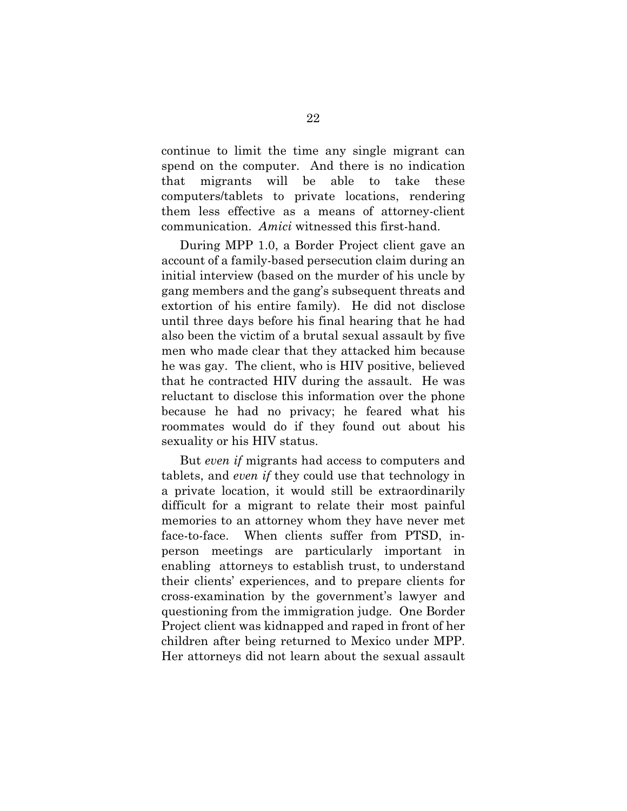continue to limit the time any single migrant can spend on the computer. And there is no indication that migrants will be able to take these computers/tablets to private locations, rendering them less effective as a means of attorney-client communication. *Amici* witnessed this first-hand.

During MPP 1.0, a Border Project client gave an account of a family-based persecution claim during an initial interview (based on the murder of his uncle by gang members and the gang's subsequent threats and extortion of his entire family). He did not disclose until three days before his final hearing that he had also been the victim of a brutal sexual assault by five men who made clear that they attacked him because he was gay. The client, who is HIV positive, believed that he contracted HIV during the assault. He was reluctant to disclose this information over the phone because he had no privacy; he feared what his roommates would do if they found out about his sexuality or his HIV status.

But *even if* migrants had access to computers and tablets, and *even if* they could use that technology in a private location, it would still be extraordinarily difficult for a migrant to relate their most painful memories to an attorney whom they have never met face-to-face. When clients suffer from PTSD, inperson meetings are particularly important in enabling attorneys to establish trust, to understand their clients' experiences, and to prepare clients for cross-examination by the government's lawyer and questioning from the immigration judge. One Border Project client was kidnapped and raped in front of her children after being returned to Mexico under MPP. Her attorneys did not learn about the sexual assault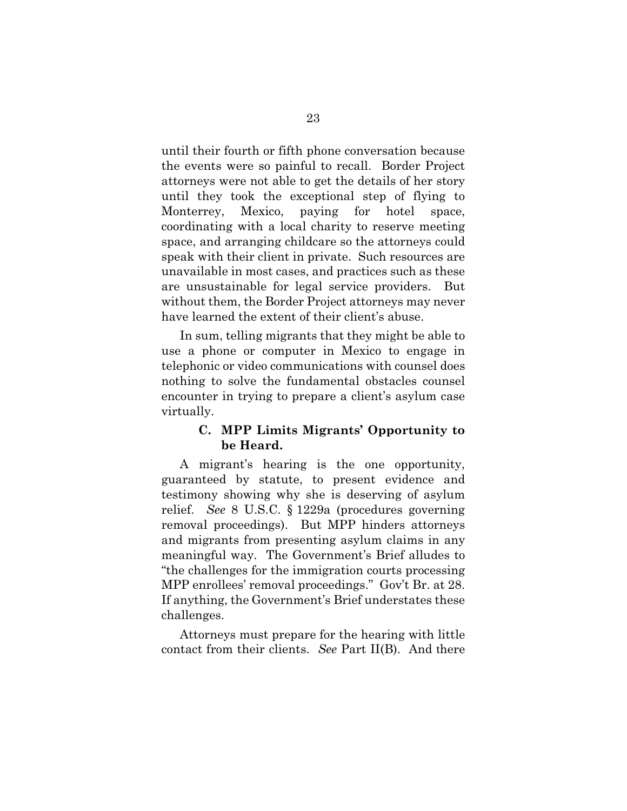until their fourth or fifth phone conversation because the events were so painful to recall. Border Project attorneys were not able to get the details of her story until they took the exceptional step of flying to Monterrey, Mexico, paying for hotel space, coordinating with a local charity to reserve meeting space, and arranging childcare so the attorneys could speak with their client in private. Such resources are unavailable in most cases, and practices such as these are unsustainable for legal service providers. But without them, the Border Project attorneys may never have learned the extent of their client's abuse.

In sum, telling migrants that they might be able to use a phone or computer in Mexico to engage in telephonic or video communications with counsel does nothing to solve the fundamental obstacles counsel encounter in trying to prepare a client's asylum case virtually.

#### **C. MPP Limits Migrants' Opportunity to be Heard.**

A migrant's hearing is the one opportunity, guaranteed by statute, to present evidence and testimony showing why she is deserving of asylum relief. *See* 8 U.S.C. § 1229a (procedures governing removal proceedings). But MPP hinders attorneys and migrants from presenting asylum claims in any meaningful way. The Government's Brief alludes to "the challenges for the immigration courts processing MPP enrollees' removal proceedings." Gov't Br. at 28. If anything, the Government's Brief understates these challenges.

Attorneys must prepare for the hearing with little contact from their clients. *See* Part II(B). And there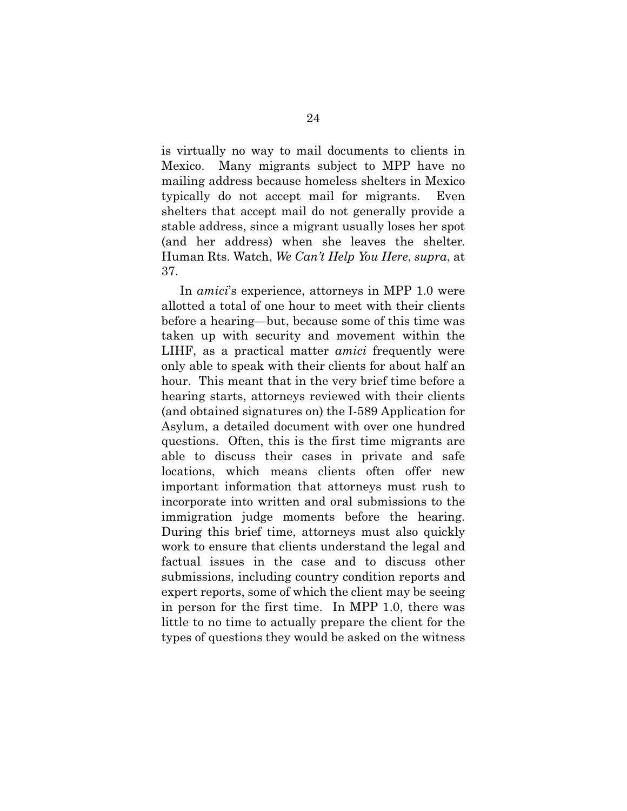is virtually no way to mail documents to clients in Mexico. Many migrants subject to MPP have no mailing address because homeless shelters in Mexico typically do not accept mail for migrants. Even shelters that accept mail do not generally provide a stable address, since a migrant usually loses her spot (and her address) when she leaves the shelter. Human Rts. Watch, *We Can't Help You Here*, *supra*, at 37.

In *amici*'s experience, attorneys in MPP 1.0 were allotted a total of one hour to meet with their clients before a hearing—but, because some of this time was taken up with security and movement within the LIHF, as a practical matter *amici* frequently were only able to speak with their clients for about half an hour. This meant that in the very brief time before a hearing starts, attorneys reviewed with their clients (and obtained signatures on) the I-589 Application for Asylum, a detailed document with over one hundred questions. Often, this is the first time migrants are able to discuss their cases in private and safe locations, which means clients often offer new important information that attorneys must rush to incorporate into written and oral submissions to the immigration judge moments before the hearing. During this brief time, attorneys must also quickly work to ensure that clients understand the legal and factual issues in the case and to discuss other submissions, including country condition reports and expert reports, some of which the client may be seeing in person for the first time. In MPP 1.0, there was little to no time to actually prepare the client for the types of questions they would be asked on the witness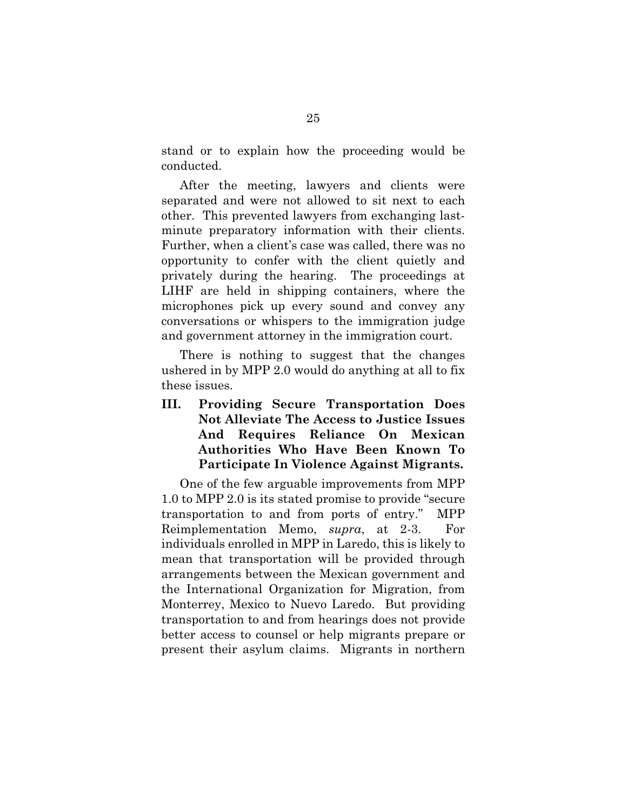stand or to explain how the proceeding would be conducted.

After the meeting, lawyers and clients were separated and were not allowed to sit next to each other. This prevented lawyers from exchanging lastminute preparatory information with their clients. Further, when a client's case was called, there was no opportunity to confer with the client quietly and privately during the hearing. The proceedings at LIHF are held in shipping containers, where the microphones pick up every sound and convey any conversations or whispers to the immigration judge and government attorney in the immigration court.

There is nothing to suggest that the changes ushered in by MPP 2.0 would do anything at all to fix these issues.

**III. Providing Secure Transportation Does Not Alleviate The Access to Justice Issues And Requires Reliance On Mexican Authorities Who Have Been Known To Participate In Violence Against Migrants.** 

One of the few arguable improvements from MPP 1.0 to MPP 2.0 is its stated promise to provide "secure transportation to and from ports of entry." MPP Reimplementation Memo, *supra*, at 2-3. For individuals enrolled in MPP in Laredo, this is likely to mean that transportation will be provided through arrangements between the Mexican government and the International Organization for Migration, from Monterrey, Mexico to Nuevo Laredo. But providing transportation to and from hearings does not provide better access to counsel or help migrants prepare or present their asylum claims. Migrants in northern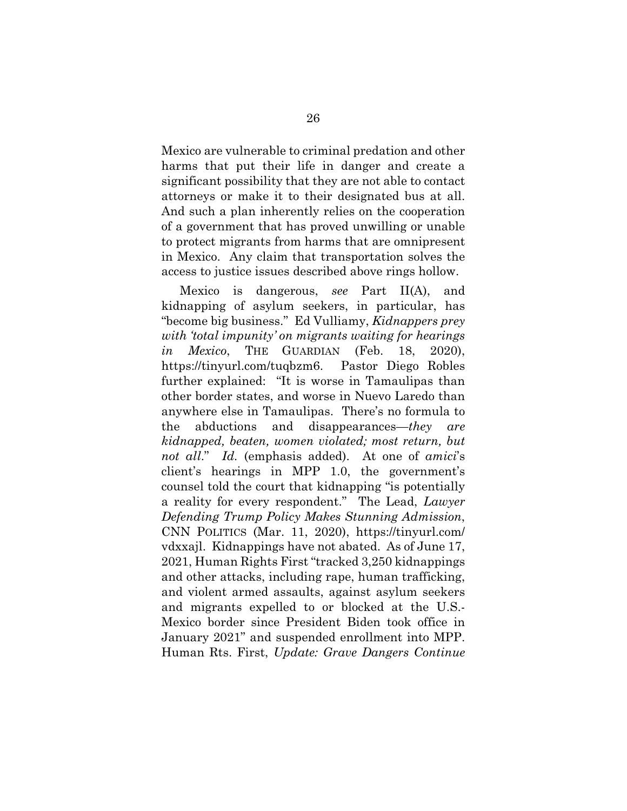Mexico are vulnerable to criminal predation and other harms that put their life in danger and create a significant possibility that they are not able to contact attorneys or make it to their designated bus at all. And such a plan inherently relies on the cooperation of a government that has proved unwilling or unable to protect migrants from harms that are omnipresent in Mexico. Any claim that transportation solves the access to justice issues described above rings hollow.

Mexico is dangerous, *see* Part II(A), and kidnapping of asylum seekers, in particular, has "become big business." Ed Vulliamy, *Kidnappers prey with 'total impunity' on migrants waiting for hearings in Mexico*, THE GUARDIAN (Feb. 18, 2020), https://tinyurl.com/tuqbzm6. Pastor Diego Robles further explained: "It is worse in Tamaulipas than other border states, and worse in Nuevo Laredo than anywhere else in Tamaulipas. There's no formula to the abductions and disappearances—*they are kidnapped, beaten, women violated; most return, but not all*." *Id.* (emphasis added). At one of *amici*'s client's hearings in MPP 1.0, the government's counsel told the court that kidnapping "is potentially a reality for every respondent." The Lead, *Lawyer Defending Trump Policy Makes Stunning Admission*, CNN POLITICS (Mar. 11, 2020), https://tinyurl.com/ vdxxajl. Kidnappings have not abated. As of June 17, 2021, Human Rights First "tracked 3,250 kidnappings and other attacks, including rape, human trafficking, and violent armed assaults, against asylum seekers and migrants expelled to or blocked at the U.S.- Mexico border since President Biden took office in January 2021" and suspended enrollment into MPP. Human Rts. First, *Update: Grave Dangers Continue*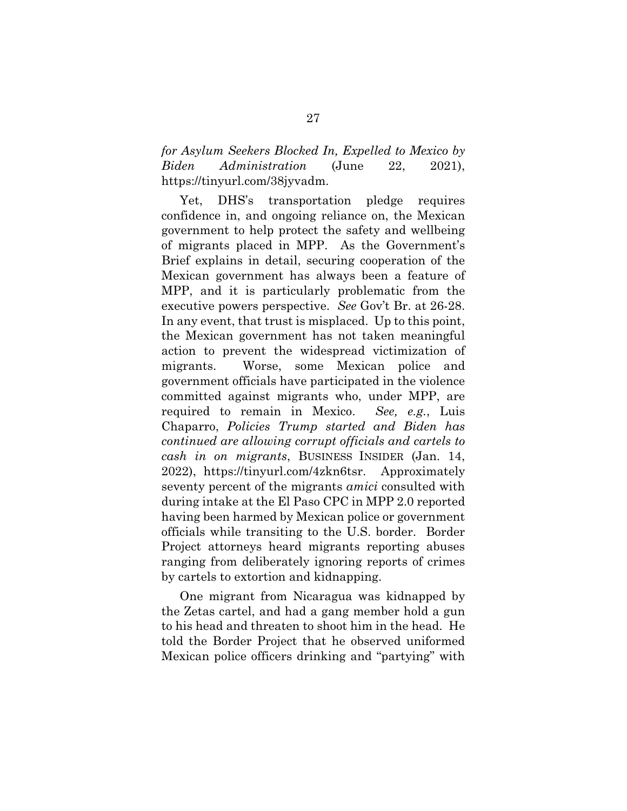*for Asylum Seekers Blocked In, Expelled to Mexico by Biden Administration* (June 22, 2021), https://tinyurl.com/38jyvadm.

Yet, DHS's transportation pledge requires confidence in, and ongoing reliance on, the Mexican government to help protect the safety and wellbeing of migrants placed in MPP. As the Government's Brief explains in detail, securing cooperation of the Mexican government has always been a feature of MPP, and it is particularly problematic from the executive powers perspective. *See* Gov't Br. at 26-28. In any event, that trust is misplaced. Up to this point, the Mexican government has not taken meaningful action to prevent the widespread victimization of migrants. Worse, some Mexican police and government officials have participated in the violence committed against migrants who, under MPP, are required to remain in Mexico. *See, e.g.*, Luis Chaparro, *Policies Trump started and Biden has continued are allowing corrupt officials and cartels to cash in on migrants*, BUSINESS INSIDER (Jan. 14, 2022), https://tinyurl.com/4zkn6tsr. Approximately seventy percent of the migrants *amici* consulted with during intake at the El Paso CPC in MPP 2.0 reported having been harmed by Mexican police or government officials while transiting to the U.S. border. Border Project attorneys heard migrants reporting abuses ranging from deliberately ignoring reports of crimes by cartels to extortion and kidnapping.

One migrant from Nicaragua was kidnapped by the Zetas cartel, and had a gang member hold a gun to his head and threaten to shoot him in the head. He told the Border Project that he observed uniformed Mexican police officers drinking and "partying" with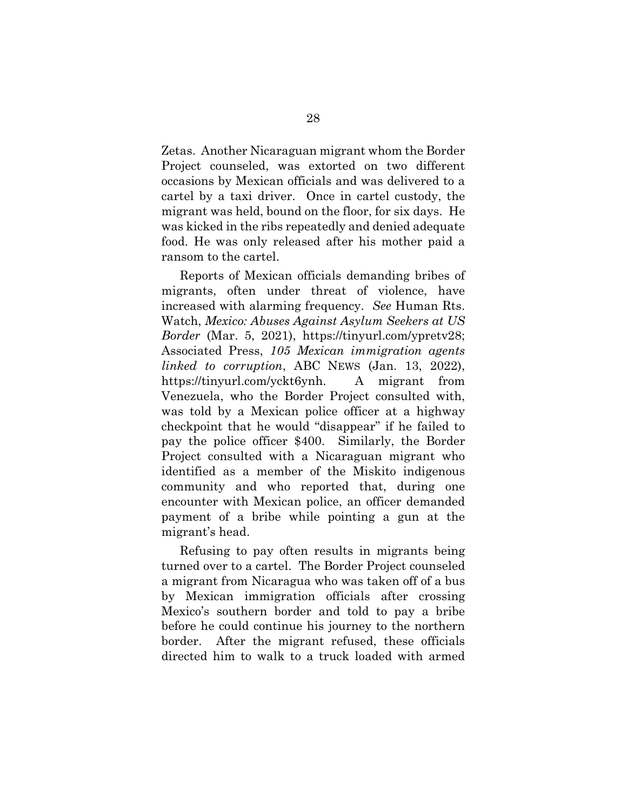Zetas. Another Nicaraguan migrant whom the Border Project counseled, was extorted on two different occasions by Mexican officials and was delivered to a cartel by a taxi driver. Once in cartel custody, the migrant was held, bound on the floor, for six days. He was kicked in the ribs repeatedly and denied adequate food. He was only released after his mother paid a ransom to the cartel.

Reports of Mexican officials demanding bribes of migrants, often under threat of violence, have increased with alarming frequency. *See* Human Rts. Watch, *Mexico: Abuses Against Asylum Seekers at US Border* (Mar. 5, 2021), https://tinyurl.com/ypretv28; Associated Press, *105 Mexican immigration agents linked to corruption*, ABC NEWS (Jan. 13, 2022), https://tinyurl.com/yckt6ynh. A migrant from Venezuela, who the Border Project consulted with, was told by a Mexican police officer at a highway checkpoint that he would "disappear" if he failed to pay the police officer \$400. Similarly, the Border Project consulted with a Nicaraguan migrant who identified as a member of the Miskito indigenous community and who reported that, during one encounter with Mexican police, an officer demanded payment of a bribe while pointing a gun at the migrant's head.

Refusing to pay often results in migrants being turned over to a cartel. The Border Project counseled a migrant from Nicaragua who was taken off of a bus by Mexican immigration officials after crossing Mexico's southern border and told to pay a bribe before he could continue his journey to the northern border. After the migrant refused, these officials directed him to walk to a truck loaded with armed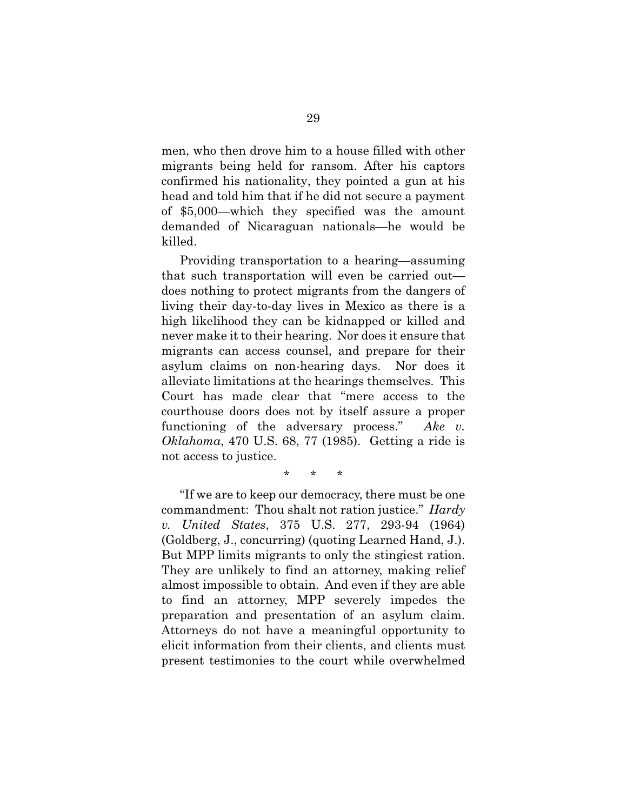men, who then drove him to a house filled with other migrants being held for ransom. After his captors confirmed his nationality, they pointed a gun at his head and told him that if he did not secure a payment of \$5,000—which they specified was the amount demanded of Nicaraguan nationals—he would be killed.

Providing transportation to a hearing—assuming that such transportation will even be carried out does nothing to protect migrants from the dangers of living their day-to-day lives in Mexico as there is a high likelihood they can be kidnapped or killed and never make it to their hearing. Nor does it ensure that migrants can access counsel, and prepare for their asylum claims on non-hearing days. Nor does it alleviate limitations at the hearings themselves. This Court has made clear that "mere access to the courthouse doors does not by itself assure a proper functioning of the adversary process." *Ake v. Oklahoma*, 470 U.S. 68, 77 (1985). Getting a ride is not access to justice.

\* \* \*

"If we are to keep our democracy, there must be one commandment: Thou shalt not ration justice." *Hardy v. United States*, 375 U.S. 277, 293-94 (1964) (Goldberg, J., concurring) (quoting Learned Hand, J.). But MPP limits migrants to only the stingiest ration. They are unlikely to find an attorney, making relief almost impossible to obtain. And even if they are able to find an attorney, MPP severely impedes the preparation and presentation of an asylum claim. Attorneys do not have a meaningful opportunity to elicit information from their clients, and clients must present testimonies to the court while overwhelmed